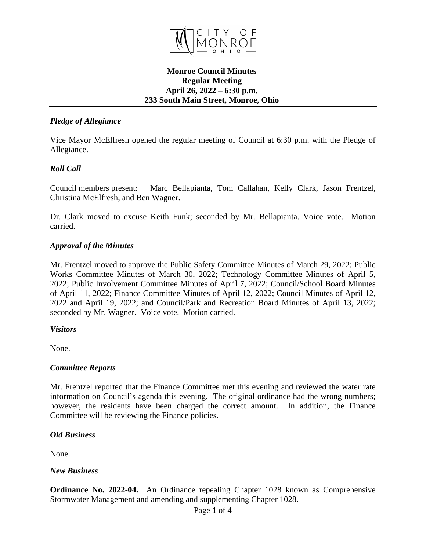

### **Monroe Council Minutes Regular Meeting April 26, 2022 – 6:30 p.m. 233 South Main Street, Monroe, Ohio**

# *Pledge of Allegiance*

Vice Mayor McElfresh opened the regular meeting of Council at 6:30 p.m. with the Pledge of Allegiance.

## *Roll Call*

Council members present: Marc Bellapianta, Tom Callahan, Kelly Clark, Jason Frentzel, Christina McElfresh, and Ben Wagner.

Dr. Clark moved to excuse Keith Funk; seconded by Mr. Bellapianta. Voice vote. Motion carried.

#### *Approval of the Minutes*

Mr. Frentzel moved to approve the Public Safety Committee Minutes of March 29, 2022; Public Works Committee Minutes of March 30, 2022; Technology Committee Minutes of April 5, 2022; Public Involvement Committee Minutes of April 7, 2022; Council/School Board Minutes of April 11, 2022; Finance Committee Minutes of April 12, 2022; Council Minutes of April 12, 2022 and April 19, 2022; and Council/Park and Recreation Board Minutes of April 13, 2022; seconded by Mr. Wagner. Voice vote. Motion carried.

#### *Visitors*

None.

#### *Committee Reports*

Mr. Frentzel reported that the Finance Committee met this evening and reviewed the water rate information on Council's agenda this evening. The original ordinance had the wrong numbers; however, the residents have been charged the correct amount. In addition, the Finance Committee will be reviewing the Finance policies.

#### *Old Business*

None.

#### *New Business*

**Ordinance No. 2022-04.** An Ordinance repealing Chapter 1028 known as Comprehensive Stormwater Management and amending and supplementing Chapter 1028.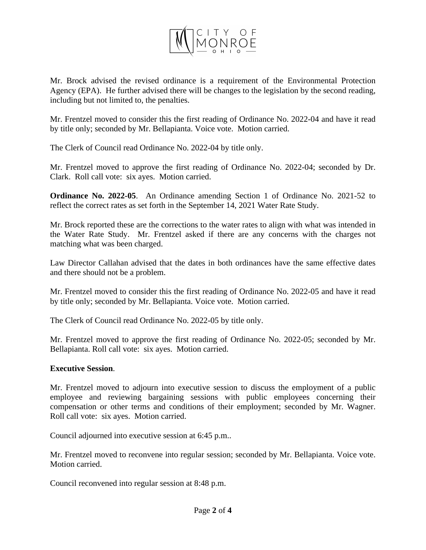

Mr. Brock advised the revised ordinance is a requirement of the Environmental Protection Agency (EPA). He further advised there will be changes to the legislation by the second reading, including but not limited to, the penalties.

Mr. Frentzel moved to consider this the first reading of Ordinance No. 2022-04 and have it read by title only; seconded by Mr. Bellapianta. Voice vote. Motion carried.

The Clerk of Council read Ordinance No. 2022-04 by title only.

Mr. Frentzel moved to approve the first reading of Ordinance No. 2022-04; seconded by Dr. Clark. Roll call vote: six ayes. Motion carried.

**Ordinance No. 2022-05**. An Ordinance amending Section 1 of Ordinance No. 2021-52 to reflect the correct rates as set forth in the September 14, 2021 Water Rate Study.

Mr. Brock reported these are the corrections to the water rates to align with what was intended in the Water Rate Study. Mr. Frentzel asked if there are any concerns with the charges not matching what was been charged.

Law Director Callahan advised that the dates in both ordinances have the same effective dates and there should not be a problem.

Mr. Frentzel moved to consider this the first reading of Ordinance No. 2022-05 and have it read by title only; seconded by Mr. Bellapianta. Voice vote. Motion carried.

The Clerk of Council read Ordinance No. 2022-05 by title only.

Mr. Frentzel moved to approve the first reading of Ordinance No. 2022-05; seconded by Mr. Bellapianta. Roll call vote: six ayes. Motion carried.

#### **Executive Session**.

Mr. Frentzel moved to adjourn into executive session to discuss the employment of a public employee and reviewing bargaining sessions with public employees concerning their compensation or other terms and conditions of their employment; seconded by Mr. Wagner. Roll call vote: six ayes. Motion carried.

Council adjourned into executive session at 6:45 p.m..

Mr. Frentzel moved to reconvene into regular session; seconded by Mr. Bellapianta. Voice vote. Motion carried.

Council reconvened into regular session at 8:48 p.m.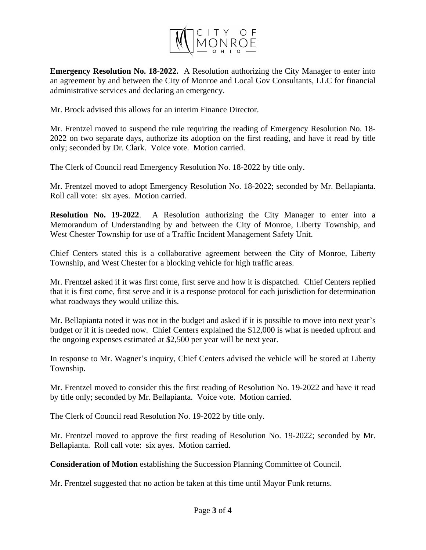

**Emergency Resolution No. 18-2022.** A Resolution authorizing the City Manager to enter into an agreement by and between the City of Monroe and Local Gov Consultants, LLC for financial administrative services and declaring an emergency.

Mr. Brock advised this allows for an interim Finance Director.

Mr. Frentzel moved to suspend the rule requiring the reading of Emergency Resolution No. 18- 2022 on two separate days, authorize its adoption on the first reading, and have it read by title only; seconded by Dr. Clark. Voice vote. Motion carried.

The Clerk of Council read Emergency Resolution No. 18-2022 by title only.

Mr. Frentzel moved to adopt Emergency Resolution No. 18-2022; seconded by Mr. Bellapianta. Roll call vote: six ayes. Motion carried.

**Resolution No. 19-2022**. A Resolution authorizing the City Manager to enter into a Memorandum of Understanding by and between the City of Monroe, Liberty Township, and West Chester Township for use of a Traffic Incident Management Safety Unit.

Chief Centers stated this is a collaborative agreement between the City of Monroe, Liberty Township, and West Chester for a blocking vehicle for high traffic areas.

Mr. Frentzel asked if it was first come, first serve and how it is dispatched. Chief Centers replied that it is first come, first serve and it is a response protocol for each jurisdiction for determination what roadways they would utilize this.

Mr. Bellapianta noted it was not in the budget and asked if it is possible to move into next year's budget or if it is needed now. Chief Centers explained the \$12,000 is what is needed upfront and the ongoing expenses estimated at \$2,500 per year will be next year.

In response to Mr. Wagner's inquiry, Chief Centers advised the vehicle will be stored at Liberty Township.

Mr. Frentzel moved to consider this the first reading of Resolution No. 19-2022 and have it read by title only; seconded by Mr. Bellapianta. Voice vote. Motion carried.

The Clerk of Council read Resolution No. 19-2022 by title only.

Mr. Frentzel moved to approve the first reading of Resolution No. 19-2022; seconded by Mr. Bellapianta. Roll call vote: six ayes. Motion carried.

**Consideration of Motion** establishing the Succession Planning Committee of Council.

Mr. Frentzel suggested that no action be taken at this time until Mayor Funk returns.